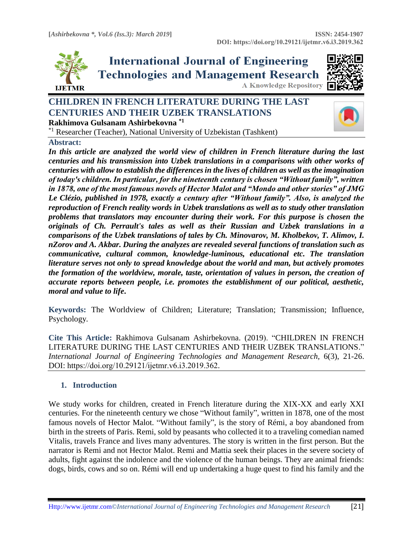

**International Journal of Engineering Technologies and Management Research A Knowledge Repository** 



## **CHILDREN IN FRENCH LITERATURE DURING THE LAST CENTURIES AND THEIR UZBEK TRANSLATIONS Rakhimova Gulsanam Ashirbekovna \*1**

\*1 Researcher (Teacher), National University of Uzbekistan (Tashkent)

## **Abstract:**

*In this article are analyzed the world view of children in French literature during the last centuries and his transmission into Uzbek translations in a comparisons with other works of centuries with allow to establish the differences in the lives of children as well as the imagination of today's children. In particular, for the nineteenth century is chosen "Without family", written in 1878, one of the most famous novels of Hector Malot and "Mondo and other stories" of JMG Le Clézio, published in 1978, exactly a century after "Without family". Also, is analyzed the reproduction of French reality words in Uzbek translations as well as to study other translation problems that translators may encounter during their work. For this purpose is chosen the originals of Ch. Perrault's tales as well as their Russian and Uzbek translations in a comparisons of the Uzbek translations of tales by Ch. Minovarov, M. Kholbekov, T. Alimov, I. nZorov and A. Akbar. During the analyzes are revealed several functions of translation such as communicative, cultural common, knowledge-luminous, educational etc. The translation literature serves not only to spread knowledge about the world and man, but actively promotes the formation of the worldview, morale, taste, orientation of values in person, the creation of accurate reports between people, i.e. promotes the establishment of our political, aesthetic, moral and value to life***.**

**Keywords:** The Worldview of Children; Literature; Translation; Transmission; Influence, Psychology*.* 

**Cite This Article:** Rakhimova Gulsanam Ashirbekovna. (2019). "CHILDREN IN FRENCH LITERATURE DURING THE LAST CENTURIES AND THEIR UZBEK TRANSLATIONS." *International Journal of Engineering Technologies and Management Research,* 6(3), 21-26. DOI: https://doi.org/10.29121/ijetmr.v6.i3.2019.362.

## **1. Introduction**

We study works for children, created in French literature during the XIX-XX and early XXI centuries. For the nineteenth century we chose "Without family", written in 1878, one of the most famous novels of Hector Malot. "Without family", is the story of Rémi, a boy abandoned from birth in the streets of Paris. Remi, sold by peasants who collected it to a traveling comedian named Vitalis, travels France and lives many adventures. The story is written in the first person. But the narrator is Remi and not Hector Malot. Remi and Mattia seek their places in the severe society of adults, fight against the indolence and the violence of the human beings. They are animal friends: dogs, birds, cows and so on. Rémi will end up undertaking a huge quest to find his family and the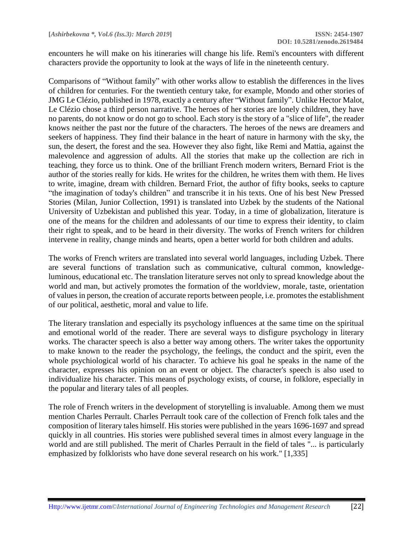encounters he will make on his itineraries will change his life. Remi's encounters with different characters provide the opportunity to look at the ways of life in the nineteenth century.

Comparisons of "Without family" with other works allow to establish the differences in the lives of children for centuries. For the twentieth century take, for example, Mondo and other stories of JMG Le Clézio, published in 1978, exactly a century after "Without family". Unlike Hector Malot, Le Clézio chose a third person narrative. The heroes of her stories are lonely children, they have no parents, do not know or do not go to school. Each story is the story of a "slice of life", the reader knows neither the past nor the future of the characters. The heroes of the news are dreamers and seekers of happiness. They find their balance in the heart of nature in harmony with the sky, the sun, the desert, the forest and the sea. However they also fight, like Remi and Mattia, against the malevolence and aggression of adults. All the stories that make up the collection are rich in teaching, they force us to think. One of the brilliant French modern writers, Bernard Friot is the author of the stories really for kids. He writes for the children, he writes them with them. He lives to write, imagine, dream with children. Bernard Friot, the author of fifty books, seeks to capture "the imagination of today's children" and transcribe it in his texts. One of his best New Pressed Stories (Milan, Junior Collection, 1991) is translated into Uzbek by the students of the National University of Uzbekistan and published this year. Today, in a time of globalization, literature is one of the means for the children and adolessants of our time to express their identity, to claim their right to speak, and to be heard in their diversity. The works of French writers for children intervene in reality, change minds and hearts, open a better world for both children and adults.

The works of French writers are translated into several world languages, including Uzbek. There are several functions of translation such as communicative, cultural common, knowledgeluminous, educational etc. The translation literature serves not only to spread knowledge about the world and man, but actively promotes the formation of the worldview, morale, taste, orientation of values in person, the creation of accurate reports between people, i.e. promotes the establishment of our political, aesthetic, moral and value to life.

The literary translation and especially its psychology influences at the same time on the spiritual and emotional world of the reader. There are several ways to disfigure psychology in literary works. The character speech is also a better way among others. The writer takes the opportunity to make known to the reader the psychology, the feelings, the conduct and the spirit, even the whole psychiological world of his character. To achieve his goal he speaks in the name of the character, expresses his opinion on an event or object. The character's speech is also used to individualize his character. This means of psychology exists, of course, in folklore, especially in the popular and literary tales of all peoples.

The role of French writers in the development of storytelling is invaluable. Among them we must mention Charles Perrault. Charles Perrault took care of the collection of French folk tales and the composition of literary tales himself. His stories were published in the years 1696-1697 and spread quickly in all countries. His stories were published several times in almost every language in the world and are still published. The merit of Charles Perrault in the field of tales "... is particularly emphasized by folklorists who have done several research on his work." [1,335]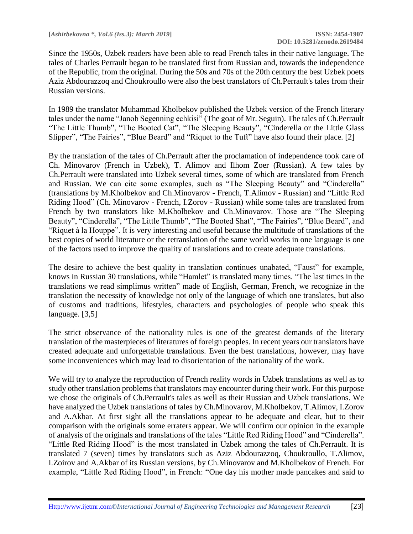Since the 1950s, Uzbek readers have been able to read French tales in their native language. The tales of Charles Perrault began to be translated first from Russian and, towards the independence of the Republic, from the original. During the 50s and 70s of the 20th century the best Uzbek poets Aziz Abdourazzoq and Choukroullo were also the best translators of Ch.Perrault's tales from their Russian versions.

In 1989 the translator Muhammad Kholbekov published the Uzbek version of the French literary tales under the name "Janob Segenning echkisi" (The goat of Mr. Seguin). The tales of Ch.Perrault "The Little Thumb", "The Booted Cat", "The Sleeping Beauty", "Cinderella or the Little Glass Slipper", "The Fairies", "Blue Beard" and "Riquet to the Tuft" have also found their place. [2]

By the translation of the tales of Ch.Perrault after the proclamation of independence took care of Ch. Minovarov (French in Uzbek), T. Alimov and Ilhom Zoer (Russian). A few tales by Ch.Perrault were translated into Uzbek several times, some of which are translated from French and Russian. We can cite some examples, such as "The Sleeping Beauty" and "Cinderella" (translations by M.Kholbekov and Ch.Minovarov - French, T.Alimov - Russian) and "Little Red Riding Hood" (Ch. Minovarov - French, I.Zorov - Russian) while some tales are translated from French by two translators like M.Kholbekov and Ch.Minovarov. Those are "The Sleeping Beauty", "Cinderella", "The Little Thumb", "The Booted Shat", "The Fairies", "Blue Beard", and "Riquet à la Houppe". It is very interesting and useful because the multitude of translations of the best copies of world literature or the retranslation of the same world works in one language is one of the factors used to improve the quality of translations and to create adequate translations.

The desire to achieve the best quality in translation continues unabated, "Faust" for example, knows in Russian 30 translations, while "Hamlet" is translated many times. "The last times in the translations we read simplimus written" made of English, German, French, we recognize in the translation the necessity of knowledge not only of the language of which one translates, but also of customs and traditions, lifestyles, characters and psychologies of people who speak this language. [3,5]

The strict observance of the nationality rules is one of the greatest demands of the literary translation of the masterpieces of literatures of foreign peoples. In recent years our translators have created adequate and unforgettable translations. Even the best translations, however, may have some inconveniences which may lead to disorientation of the nationality of the work.

We will try to analyze the reproduction of French reality words in Uzbek translations as well as to study other translation problems that translators may encounter during their work. For this purpose we chose the originals of Ch.Perrault's tales as well as their Russian and Uzbek translations. We have analyzed the Uzbek translations of tales by Ch.Minovarov, M.Kholbekov, T.Alimov, I.Zorov and A.Akbar. At first sight all the translations appear to be adequate and clear, but to their comparison with the originals some erraters appear. We will confirm our opinion in the example of analysis of the originals and translations of the tales "Little Red Riding Hood" and "Cinderella". "Little Red Riding Hood" is the most translated in Uzbek among the tales of Ch.Perrault. It is translated 7 (seven) times by translators such as Aziz Abdourazzoq, Choukroullo, T.Alimov, I.Zoirov and A.Akbar of its Russian versions, by Ch.Minovarov and M.Kholbekov of French. For example, "Little Red Riding Hood", in French: "One day his mother made pancakes and said to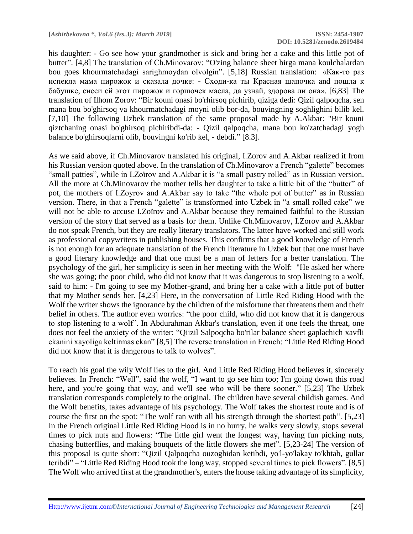his daughter: - Go see how your grandmother is sick and bring her a cake and this little pot of butter". [4,8] The translation of Ch.Minovarov: "O'zing balance sheet birga mana koulchalardan bou goes khourmatchadagi sarighmoydan olvolgin". [5,18] Russian translation: «Как-то раз испекла мама пирожок и сказала дочке: - Сходи-ка ты Красная шапочка and пошла к бабушке, снеси ей этот пирожок и горшочек масла, да узнай, здорова ли она». [6,83] The translation of Ilhom Zorov: "Bir kouni onasi bo'rhirsoq pichirib, qiziga dedi: Qizil qalpoqcha, sen mana bou bo'ghirsoq va khourmatchadagi moyni olib bor-da, bouvingning soghlighini bilib kel. [7,10] The following Uzbek translation of the same proposal made by A.Akbar: "Bir kouni qiztchaning onasi bo'ghirsoq pichiribdi-da: - Qizil qalpoqcha, mana bou ko'zatchadagi yogh balance bo'ghirsoqlarni olib, bouvingni ko'rib kel, - debdi." [8.3].

As we said above, if Ch.Minovarov translated his original, I.Zorov and A.Akbar realized it from his Russian version quoted above. In the translation of Ch.Minovarov a French "galette" becomes "small patties", while in I.Zoïrov and A.Akbar it is "a small pastry rolled" as in Russian version. All the more at Ch.Minovarov the mother tells her daughter to take a little bit of the "butter" of pot, the mothers of I.Zoyrov and A.Akbar say to take "the whole pot of butter" as in Russian version. There, in that a French "galette" is transformed into Uzbek in "a small rolled cake" we will not be able to accuse I.Zoïrov and A.Akbar because they remained faithful to the Russian version of the story that served as a basis for them. Unlike Ch.Minovarov, I.Zorov and A.Akbar do not speak French, but they are really literary translators. The latter have worked and still work as professional copywriters in publishing houses. This confirms that a good knowledge of French is not enough for an adequate translation of the French literature in Uzbek but that one must have a good literary knowledge and that one must be a man of letters for a better translation. The psychology of the girl, her simplicity is seen in her meeting with the Wolf: "He asked her where she was going; the poor child, who did not know that it was dangerous to stop listening to a wolf, said to him: - I'm going to see my Mother-grand, and bring her a cake with a little pot of butter that my Mother sends her. [4,23] Here, in the conversation of Little Red Riding Hood with the Wolf the writer shows the ignorance by the children of the misfortune that threatens them and their belief in others. The author even worries: "the poor child, who did not know that it is dangerous to stop listening to a wolf". In Abdurahman Akbar's translation, even if one feels the threat, one does not feel the anxiety of the writer: "Qiizil Salpoqcha bo'rilar balance sheet gaplachich xavfli ekanini xayoliga keltirmas ekan" [8,5] The reverse translation in French: "Little Red Riding Hood did not know that it is dangerous to talk to wolves".

To reach his goal the wily Wolf lies to the girl. And Little Red Riding Hood believes it, sincerely believes. In French: "Well", said the wolf, "I want to go see him too; I'm going down this road here, and you're going that way, and we'll see who will be there sooner." [5,23] The Uzbek translation corresponds completely to the original. The children have several childish games. And the Wolf benefits, takes advantage of his psychology. The Wolf takes the shortest route and is of course the first on the spot: "The wolf ran with all his strength through the shortest path". [5,23] In the French original Little Red Riding Hood is in no hurry, he walks very slowly, stops several times to pick nuts and flowers: "The little girl went the longest way, having fun picking nuts, chasing butterflies, and making bouquets of the little flowers she met". [5,23-24] The version of this proposal is quite short: "Qizil Qalpoqcha ouzoghidan ketibdi, yo'l-yo'lakay to'khtab, gullar teribdi" – "Little Red Riding Hood took the long way, stopped several times to pick flowers". [8,5] The Wolf who arrived first at the grandmother's, enters the house taking advantage of its simplicity,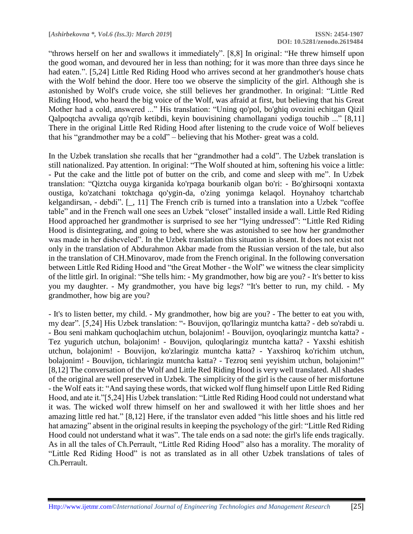"throws herself on her and swallows it immediately". [8,8] In original: "He threw himself upon the good woman, and devoured her in less than nothing; for it was more than three days since he had eaten.". [5,24] Little Red Riding Hood who arrives second at her grandmother's house chats with the Wolf behind the door. Here too we observe the simplicity of the girl. Although she is astonished by Wolf's crude voice, she still believes her grandmother. In original: "Little Red Riding Hood, who heard the big voice of the Wolf, was afraid at first, but believing that his Great Mother had a cold, answered ..." His translation: "Uning qo'pol, bo'ghiq ovozini echitgan Qizil Qalpoqtcha avvaliga qo'rqib ketibdi, keyin bouvisining chamollagani yodiga touchib ..." [8,11] There in the original Little Red Riding Hood after listening to the crude voice of Wolf believes that his "grandmother may be a cold" – believing that his Mother- great was a cold.

In the Uzbek translation she recalls that her "grandmother had a cold". The Uzbek translation is still nationalized. Pay attention. In original: "The Wolf shouted at him, softening his voice a little: - Put the cake and the little pot of butter on the crib, and come and sleep with me". In Uzbek translation: "Qiztcha ouyga kirganida ko'rpaga bourkanib olgan bo'ri: - Bo'ghirsoqni xontaxta oustiga, ko'zatchani toktchaga qo'ygin-da, o'zing yonimga kelaqol. Hoynahoy tchartchab kelgandirsan, - debdi". [\_, 11] The French crib is turned into a translation into a Uzbek "coffee table" and in the French wall one sees an Uzbek "closet" installed inside a wall. Little Red Riding Hood approached her grandmother is surprised to see her "lying undressed": "Little Red Riding Hood is disintegrating, and going to bed, where she was astonished to see how her grandmother was made in her disheveled". In the Uzbek translation this situation is absent. It does not exist not only in the translation of Abdurahmon Akbar made from the Russian version of the tale, but also in the translation of CH.Minovarov, made from the French original. In the following conversation between Little Red Riding Hood and "the Great Mother - the Wolf" we witness the clear simplicity of the little girl. In original: "She tells him: - My grandmother, how big are you? - It's better to kiss you my daughter. - My grandmother, you have big legs? "It's better to run, my child. - My grandmother, how big are you?

- It's to listen better, my child. - My grandmother, how big are you? - The better to eat you with, my dear". [5,24] His Uzbek translation: "- Bouvijon, qo'llaringiz muntcha katta? - deb so'rabdi u. - Bou seni mahkam quchoqlachim utchun, bolajonim! - Bouvijon, oyoqlaringiz muntcha katta? - Tez yugurich utchun, bolajonim! - Bouvijon, quloqlaringiz muntcha katta? - Yaxshi eshitish utchun, bolajonim! - Bouvijon, ko'zlaringiz muntcha katta? - Yaxshiroq ko'richim utchun, bolajonim! - Bouvijon, tichlaringiz muntcha katta? - Tezroq seni yeyishim utchun, bolajonim!" [8,12] The conversation of the Wolf and Little Red Riding Hood is very well translated. All shades of the original are well preserved in Uzbek. The simplicity of the girl is the cause of her misfortune - the Wolf eats it: "And saying these words, that wicked wolf flung himself upon Little Red Riding Hood, and ate it."[5,24] His Uzbek translation: "Little Red Riding Hood could not understand what it was. The wicked wolf threw himself on her and swallowed it with her little shoes and her amazing little red hat." [8,12] Here, if the translator even added "his little shoes and his little red hat amazing" absent in the original results in keeping the psychology of the girl: "Little Red Riding Hood could not understand what it was". The tale ends on a sad note: the girl's life ends tragically. As in all the tales of Ch.Perrault, "Little Red Riding Hood" also has a morality. The morality of "Little Red Riding Hood" is not as translated as in all other Uzbek translations of tales of Ch.Perrault.